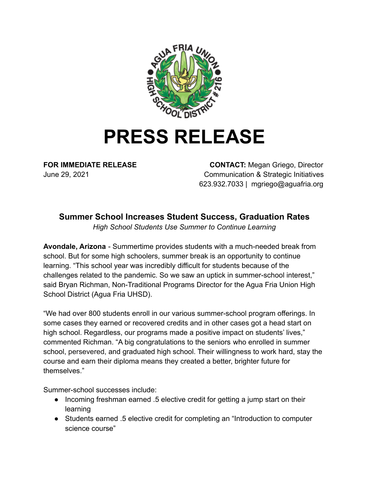

## **PRESS RELEASE**

**FOR IMMEDIATE RELEASE CONTACT:** Megan Griego, Director June 29, 2021 Communication & Strategic Initiatives 623.932.7033 | mgriego@aguafria.org

## **Summer School Increases Student Success, Graduation Rates**

*High School Students Use Summer to Continue Learning*

**Avondale, Arizona** - Summertime provides students with a much-needed break from school. But for some high schoolers, summer break is an opportunity to continue learning. "This school year was incredibly difficult for students because of the challenges related to the pandemic. So we saw an uptick in summer-school interest," said Bryan Richman, Non-Traditional Programs Director for the Agua Fria Union High School District (Agua Fria UHSD).

"We had over 800 students enroll in our various summer-school program offerings. In some cases they earned or recovered credits and in other cases got a head start on high school. Regardless, our programs made a positive impact on students' lives," commented Richman. "A big congratulations to the seniors who enrolled in summer school, persevered, and graduated high school. Their willingness to work hard, stay the course and earn their diploma means they created a better, brighter future for themselves."

Summer-school successes include:

- Incoming freshman earned .5 elective credit for getting a jump start on their learning
- Students earned .5 elective credit for completing an "Introduction to computer science course"